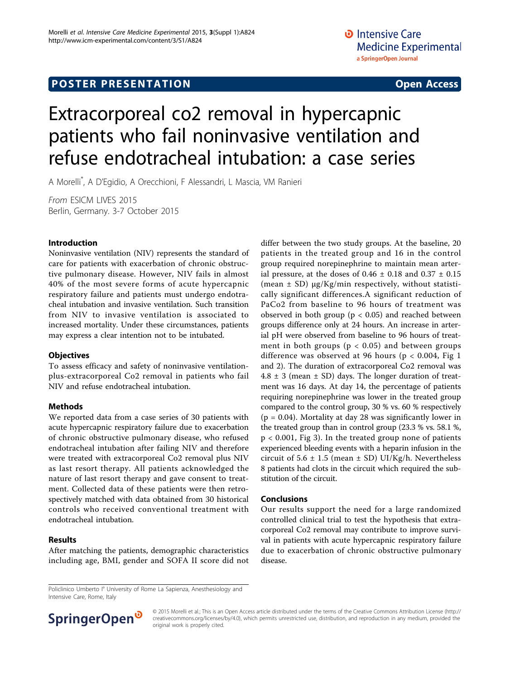## **POSTER PRESENTATION CONSUMING THE SERVICE SERVICE SERVICES**

# Extracorporeal co2 removal in hypercapnic patients who fail noninvasive ventilation and refuse endotracheal intubation: a case series

A Morelli\* ,AD'Egidio, A Orecchioni, F Alessandri, L Mascia, VM Ranieri

From ESICM LIVES 2015 Berlin, Germany. 3-7 October 2015

#### Introduction

Noninvasive ventilation (NIV) represents the standard of care for patients with exacerbation of chronic obstructive pulmonary disease. However, NIV fails in almost 40% of the most severe forms of acute hypercapnic respiratory failure and patients must undergo endotracheal intubation and invasive ventilation. Such transition from NIV to invasive ventilation is associated to increased mortality. Under these circumstances, patients may express a clear intention not to be intubated.

#### **Objectives**

To assess efficacy and safety of noninvasive ventilationplus-extracorporeal Co2 removal in patients who fail NIV and refuse endotracheal intubation.

#### Methods

We reported data from a case series of 30 patients with acute hypercapnic respiratory failure due to exacerbation of chronic obstructive pulmonary disease, who refused endotracheal intubation after failing NIV and therefore were treated with extracorporeal Co2 removal plus NIV as last resort therapy. All patients acknowledged the nature of last resort therapy and gave consent to treatment. Collected data of these patients were then retrospectively matched with data obtained from 30 historical controls who received conventional treatment with endotracheal intubation.

#### Results

After matching the patients, demographic characteristics including age, BMI, gender and SOFA II score did not differ between the two study groups. At the baseline, 20 patients in the treated group and 16 in the control group required norepinephrine to maintain mean arterial pressure, at the doses of  $0.46 \pm 0.18$  and  $0.37 \pm 0.15$ (mean  $\pm$  SD)  $\mu$ g/Kg/min respectively, without statistically significant differences.A significant reduction of PaCo2 from baseline to 96 hours of treatment was observed in both group ( $p < 0.05$ ) and reached between groups difference only at 24 hours. An increase in arterial pH were observed from baseline to 96 hours of treatment in both groups ( $p < 0.05$ ) and between groups difference was observed at 96 hours ( $p < 0.004$ , Fig 1 and 2). The duration of extracorporeal Co2 removal was  $4.8 \pm 3$  (mean  $\pm$  SD) days. The longer duration of treatment was 16 days. At day 14, the percentage of patients requiring norepinephrine was lower in the treated group compared to the control group, 30 % vs. 60 % respectively  $(p = 0.04)$ . Mortality at day 28 was significantly lower in the treated group than in control group (23.3 % vs. 58.1 %, p < 0.001, Fig 3). In the treated group none of patients experienced bleeding events with a heparin infusion in the circuit of  $5.6 \pm 1.5$  (mean  $\pm$  SD) UI/Kg/h. Nevertheless 8 patients had clots in the circuit which required the substitution of the circuit.

#### Conclusions

Our results support the need for a large randomized controlled clinical trial to test the hypothesis that extracorporeal Co2 removal may contribute to improve survival in patients with acute hypercapnic respiratory failure due to exacerbation of chronic obstructive pulmonary disease.

Policlinico Umberto I° University of Rome La Sapienza, Anesthesiology and Intensive Care, Rome, Italy



© 2015 Morelli et al.; This is an Open Access article distributed under the terms of the Creative Commons Attribution License [\(http://](http://creativecommons.org/licenses/by/4.0) [creativecommons.org/licenses/by/4.0](http://creativecommons.org/licenses/by/4.0)), which permits unrestricted use, distribution, and reproduction in any medium, provided the original work is properly cited.